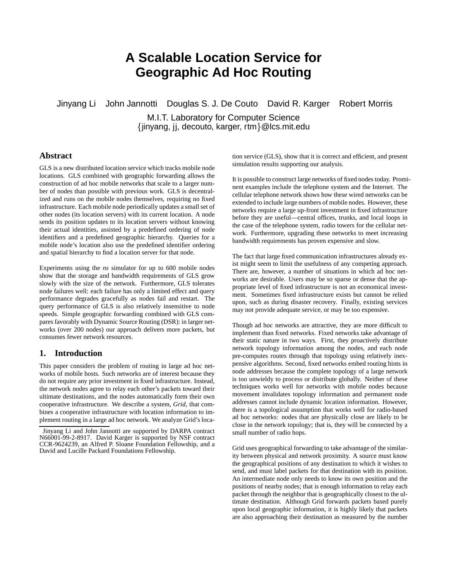# **A Scalable Location Service for Geographic Ad Hoc Routing**

Jinyang Li John Jannotti Douglas S. J. De Couto David R. Karger Robert Morris

 $\{$ jinyang, jj, decouto, karger, rtm $\}$ @lcs.mit.edu M.I.T. Laboratory for Computer Science

# **Abstract**

GLS is a new distributed location service which tracks mobile node locations. GLS combined with geographic forwarding allows the construction of ad hoc mobile networks that scale to a larger number of nodes than possible with previous work. GLS is decentralized and runs on the mobile nodes themselves, requiring no fixed infrastructure. Each mobile node periodically updates a small set of other nodes (its location servers) with its current location. A node sends its position updates to its location servers without knowing their actual identities, assisted by a predefined ordering of node identifiers and a predefined geographic hierarchy. Queries for a mobile node's location also use the predefined identifier ordering and spatial hierarchy to find a location server for that node.

Experiments using the *ns* simulator for up to 600 mobile nodes show that the storage and bandwidth requirements of GLS grow slowly with the size of the network. Furthermore, GLS tolerates node failures well: each failure has only a limited effect and query performance degrades gracefully as nodes fail and restart. The query performance of GLS is also relatively insensitive to node speeds. Simple geographic forwarding combined with GLS compares favorably with Dynamic Source Routing (DSR): in larger networks (over 200 nodes) our approach delivers more packets, but consumes fewer network resources.

# **1. Introduction**

This paper considers the problem of routing in large ad hoc networks of mobile hosts. Such networks are of interest because they do not require any prior investment in fixed infrastructure. Instead, the network nodes agree to relay each other's packets toward their ultimate destinations, and the nodes automatically form their own cooperative infrastructure. We describe a system, *Grid*, that combines a cooperative infrastructure with location information to implement routing in a large ad hoc network. We analyze Grid's location service (GLS), show that it is correct and efficient, and present simulation results supporting our analysis.

It is possible to construct large networks of fixed nodes today. Prominent examples include the telephone system and the Internet. The cellular telephone network shows how these wired networks can be extended to include large numbers of mobile nodes. However, these networks require a large up-front investment in fixed infrastructure before they are useful—central offices, trunks, and local loops in the case of the telephone system, radio towers for the cellular network. Furthermore, upgrading these networks to meet increasing bandwidth requirements has proven expensive and slow.

The fact that large fixed communication infrastructures already exist might seem to limit the usefulness of any competing approach. There are, however, a number of situations in which ad hoc networks are desirable. Users may be so sparse or dense that the appropriate level of fixed infrastructure is not an economical investment. Sometimes fixed infrastructure exists but cannot be relied upon, such as during disaster recovery. Finally, existing services may not provide adequate service, or may be too expensive.

Though ad hoc networks are attractive, they are more difficult to implement than fixed networks. Fixed networks take advantage of their static nature in two ways. First, they proactively distribute network topology information among the nodes, and each node pre-computes routes through that topology using relatively inexpensive algorithms. Second, fixed networks embed routing hints in node addresses because the complete topology of a large network is too unwieldy to process or distribute globally. Neither of these techniques works well for networks with mobile nodes because movement invalidates topology information and permanent node addresses cannot include dynamic location information. However, there is a topological assumption that works well for radio-based ad hoc networks: nodes that are physically close are likely to be close in the network topology; that is, they will be connected by a small number of radio hops.

Grid uses geographical forwarding to take advantage of the similarity between physical and network proximity. A source must know the geographical positions of any destination to which it wishes to send, and must label packets for that destination with its position. An intermediate node only needs to know its own position and the positions of nearby nodes; that is enough information to relay each packet through the neighbor that is geographically closest to the ultimate destination. Although Grid forwards packets based purely upon local geographic information, it is highly likely that packets are also approaching their destination as measured by the number

Jinyang Li and John Jannotti are supported by DARPA contract N66001-99-2-8917. David Karger is supported by NSF contract CCR-9624239, an Alfred P. Sloane Foundation Fellowship, and a David and Lucille Packard Foundations Fellowship.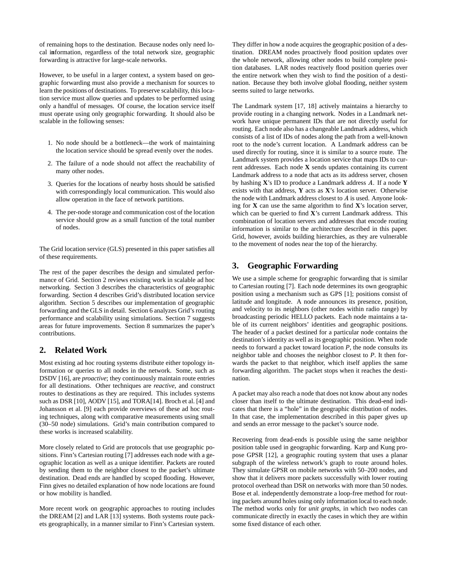of remaining hops to the destination. Because nodes only need local information, regardless of the total network size, geographic forwarding is attractive for large-scale networks.

However, to be useful in a larger context, a system based on geographic forwarding must also provide a mechanism for sources to learn the positions of destinations. To preserve scalability, this location service must allow queries and updates to be performed using only a handful of messages. Of course, the location service itself must operate using only geographic forwarding. It should also be scalable in the following senses:

- 1. No node should be a bottleneck—the work of maintaining the location service should be spread evenly over the nodes.
- 2. The failure of a node should not affect the reachability of many other nodes.
- 3. Queries for the locations of nearby hosts should be satisfied with correspondingly local communication. This would also allow operation in the face of network partitions.
- 4. The per-node storage and communication cost of the location service should grow as a small function of the total number of nodes.

The Grid location service (GLS) presented in this paper satisfies all of these requirements.

The rest of the paper describes the design and simulated performance of Grid. Section 2 reviews existing work in scalable ad hoc networking. Section 3 describes the characteristics of geographic forwarding. Section 4 describes Grid's distributed location service algorithm. Section 5 describes our implementation of geographic forwarding and the GLS in detail. Section 6 analyzes Grid's routing performance and scalability using simulations. Section 7 suggests areas for future improvements. Section 8 summarizes the paper's contributions.

## **2. Related Work**

Most existing ad hoc routing systems distribute either topology information or queries to all nodes in the network. Some, such as DSDV [16], are *proactive*; they continuously maintain route entries for all destinations. Other techniques are *reactive*, and construct routes to destinations as they are required. This includes systems such as DSR [10], AODV [15], and TORA[14]. Broch et al. [4] and Johansson et al. [9] each provide overviews of these ad hoc routing techniques, along with comparative measurements using small (30–50 node) simulations. Grid's main contribution compared to these works is increased scalability.

More closely related to Grid are protocols that use geographic positions. Finn's Cartesian routing [7] addresses each node with a geographic location as well as a unique identifier. Packets are routed by sending them to the neighbor closest to the packet's ultimate destination. Dead ends are handled by scoped flooding. However, Finn gives no detailed explanation of how node locations are found or how mobility is handled.

More recent work on geographic approaches to routing includes the DREAM [2] and LAR [13] systems. Both systems route packets geographically, in a manner similar to Finn's Cartesian system.

They differ in how a node acquires the geographic position of a destination. DREAM nodes proactively flood position updates over the whole network, allowing other nodes to build complete position databases. LAR nodes reactively flood position queries over the entire network when they wish to find the position of a destination. Because they both involve global flooding, neither system seems suited to large networks.

The Landmark system [17, 18] actively maintains a hierarchy to provide routing in a changing network. Nodes in a Landmark network have unique permanent IDs that are not directly useful for routing. Each node also has a changeable Landmark address, which consists of a list of IDs of nodes along the path from a well-known root to the node's current location. A Landmark address can be used directly for routing, since it is similar to a source route. The Landmark system provides a location service that maps IDs to current addresses. Each node **X** sends updates containing its current Landmark address to a node that acts as its address server, chosen by hashing  $X$ 's ID to produce a Landmark address  $A$ . If a node  $Y$ exists with that address, **Y** acts as **X**'s location server. Otherwise the node with Landmark address closest to  $A$  is used. Anyone looking for **X** can use the same algorithm to find **X**'s location server, which can be queried to find **X**'s current Landmark address. This combination of location servers and addresses that encode routing information is similar to the architecture described in this paper. Grid, however, avoids building hierarchies, as they are vulnerable to the movement of nodes near the top of the hierarchy.

# **3. Geographic Forwarding**

We use a simple scheme for geographic forwarding that is similar to Cartesian routing [7]. Each node determines its own geographic position using a mechanism such as GPS [1]; positions consist of latitude and longitude. A node announces its presence, position, and velocity to its neighbors (other nodes within radio range) by broadcasting periodic HELLO packets. Each node maintains a table of its current neighbors' identities and geographic positions. The header of a packet destined for a particular node contains the destination's identity as well as its geographic position. When node needs to forward a packet toward location *P*, the node consults its neighbor table and chooses the neighbor closest to *P*. It then forwards the packet to that neighbor, which itself applies the same forwarding algorithm. The packet stops when it reaches the destination.

A packet may also reach a node that does not know about any nodes closer than itself to the ultimate destination. This dead-end indicates that there is a "hole" in the geographic distribution of nodes. In that case, the implementation described in this paper gives up and sends an error message to the packet's source node.

Recovering from dead-ends is possible using the same neighbor position table used in geographic forwarding. Karp and Kung propose GPSR [12], a geographic routing system that uses a planar subgraph of the wireless network's graph to route around holes. They simulate GPSR on mobile networks with 50–200 nodes, and show that it delivers more packets successfully with lower routing protocol overhead than DSR on networks with more than 50 nodes. Bose et al. independently demonstrate a loop-free method for routing packets around holes using only information local to each node. The method works only for *unit graphs*, in which two nodes can communicate directly in exactly the cases in which they are within some fixed distance of each other.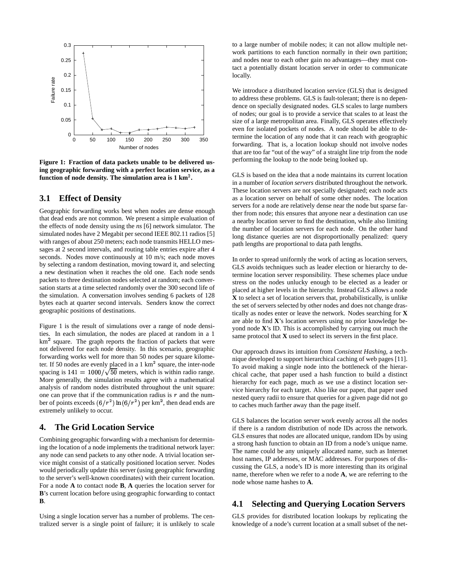

**Figure 1: Fraction of data packets unable to be delivered using geographic forwarding with a perfect location service, as a function of node density. The simulation area is 1 km .**

### **3.1 Effect of Density**

Geographic forwarding works best when nodes are dense enough that dead ends are not common. We present a simple evaluation of the effects of node density using the *ns* [6] network simulator. The simulated nodes have 2 Megabit per second IEEE 802.11 radios [5] with ranges of about 250 meters; each node transmits HELLO messages at 2 second intervals, and routing table entries expire after 4 seconds. Nodes move continuously at 10 m/s; each node moves by selecting a random destination, moving toward it, and selecting a new destination when it reaches the old one. Each node sends packets to three destination nodes selected at random; each conversation starts at a time selected randomly over the 300 second life of the simulation. A conversation involves sending 6 packets of 128 bytes each at quarter second intervals. Senders know the correct geographic positions of destinations.

Figure 1 is the result of simulations over a range of node densities. In each simulation, the nodes are placed at random in a 1  $km<sup>2</sup>$  square. The graph reports the fraction of packets that were not delivered for each node density. In this scenario, geographic forwarding works well for more than 50 nodes per square kilometer. If 50 nodes are evenly placed in a  $1 \text{ km}^2$  square, the inter-node spacing is  $141 = 1000/\sqrt{50}$  meters, which is within radio range. More generally, the simulation results agree with a mathematical analysis of random nodes distributed throughout the unit square: one can prove that if the communication radius is  $r$  and the number of points exceeds  $(6/r^2) \ln(6/r^2)$  per km<sup>2</sup>, then dead ends are extremely unlikely to occur.

### **4. The Grid Location Service**

Combining geographic forwarding with a mechanism for determining the location of a node implements the traditional network layer: any node can send packets to any other node. A trivial location service might consist of a statically positioned location server. Nodes would periodically update this server (using geographic forwarding to the server's well-known coordinates) with their current location. For a node **A** to contact node **B**, **A** queries the location server for **B**'s current location before using geographic forwarding to contact **B**.

Using a single location server has a number of problems. The centralized server is a single point of failure; it is unlikely to scale to a large number of mobile nodes; it can not allow multiple network partitions to each function normally in their own partition; and nodes near to each other gain no advantages—they must contact a potentially distant location server in order to communicate locally.

We introduce a distributed location service (GLS) that is designed to address these problems. GLS is fault-tolerant; there is no dependence on specially designated nodes. GLS scales to large numbers of nodes; our goal is to provide a service that scales to at least the size of a large metropolitan area. Finally, GLS operates effectively even for isolated pockets of nodes. A node should be able to determine the location of any node that it can reach with geographic forwarding. That is, a location lookup should not involve nodes that are too far "out of the way" of a straight line trip from the node performing the lookup to the node being looked up.

GLS is based on the idea that a node maintains its current location in a number of *location servers* distributed throughout the network. These location servers are not specially designated; each node acts as a location server on behalf of some other nodes. The location servers for a node are relatively dense near the node but sparse farther from node; this ensures that anyone near a destination can use a nearby location server to find the destination, while also limiting the number of location servers for each node. On the other hand long distance queries are not disproportionally penalized: query path lengths are proportional to data path lengths.

In order to spread uniformly the work of acting as location servers, GLS avoids techniques such as leader election or hierarchy to determine location server responsibility. These schemes place undue stress on the nodes unlucky enough to be elected as a leader or placed at higher levels in the hierarchy. Instead GLS allows a node **X** to select a set of location servers that, probabilistically, is unlike the set of servers selected by other nodes and does not change drastically as nodes enter or leave the network. Nodes searching for **X** are able to find **X**'s location servers using no prior knowledge beyond node **X**'s ID. This is accomplished by carrying out much the same protocol that **X** used to select its servers in the first place.

Our approach draws its intuition from *Consistent Hashing*, a technique developed to support hierarchical caching of web pages [11]. To avoid making a single node into the bottleneck of the hierarchical cache, that paper used a hash function to build a distinct hierarchy for each page, much as we use a distinct location service hierarchy for each target. Also like our paper, that paper used nested query radii to ensure that queries for a given page did not go to caches much farther away than the page itself.

GLS balances the location server work evenly across all the nodes if there is a random distribution of node IDs across the network. GLS ensures that nodes are allocated unique, random IDs by using a strong hash function to obtain an ID from a node's unique name. The name could be any uniquely allocated name, such as Internet host names, IP addresses, or MAC addresses. For purposes of discussing the GLS, a node's ID is more interesting than its original name, therefore when we refer to a node **A**, we are referring to the node whose name hashes to **A**.

# **4.1 Selecting and Querying Location Servers**

GLS provides for distributed location lookups by replicating the knowledge of a node's current location at a small subset of the net-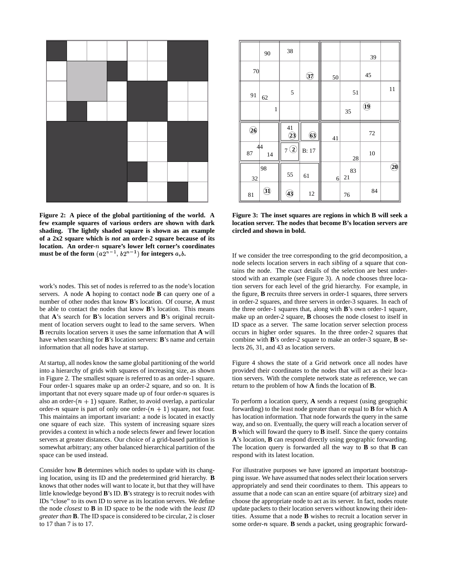

**Figure 2: A piece of the global partitioning of the world. A few example squares of various orders are shown with dark shading. The lightly shaded square is shown as an example of a 2x2 square which is** *not* **an order-2 square because of its location. An order- square's lower left corner's coordinates must** be of the form  $(a2^{n-1}, b2^{n-1})$  for integers  $a, b$ .

work's nodes. This set of nodes is referred to as the node's location servers. A node **A** hoping to contact node **B** can query one of a number of other nodes that know **B**'s location. Of course, **A** must be able to contact the nodes that know **B**'s location. This means that **A**'s search for **B**'s location servers and **B**'s original recruitment of location servers ought to lead to the same servers. When **B** recruits location servers it uses the same information that **A** will have when searching for **B**'s location servers: **B**'s name and certain information that all nodes have at startup.

At startup, all nodes know the same global partitioning of the world into a hierarchy of grids with squares of increasing size, as shown in Figure 2. The smallest square is referred to as an order-1 square. Four order-1 squares make up an order-2 square, and so on. It is important that not every square made up of four order- $n$  squares is also an order- $(n+1)$  square. Rather, to avoid overlap, a particular order-*n* square is part of only one order- $(n + 1)$  square, not four. This maintains an important invariant: a node is located in exactly one square of each size. This system of increasing square sizes provides a context in which a node selects fewer and fewer location servers at greater distances. Our choice of a grid-based partition is somewhat arbitrary; any other balanced hierarchical partition of the space can be used instead.

Consider how **B** determines which nodes to update with its changing location, using its ID and the predetermined grid hierarchy. **B** knows that other nodes will want to locate it, but that they will have little knowledge beyond **B**'s ID. **B**'s strategy is to recruit nodes with IDs "close" to its own ID to serve as its location servers. We define the node *closest* to **B** in ID space to be the node with the *least ID greater than* **B**. The ID space is considered to be circular, 2 is closer to 17 than 7 is to 17.



**Figure 3: The inset squares are regions in which B will seek a location server. The nodes that become B's location servers are circled and shown in bold.**

If we consider the tree corresponding to the grid decomposition, a node selects location servers in each *sibling* of a square that contains the node. The exact details of the selection are best understood with an example (see Figure 3). A node chooses three location servers for each level of the grid hierarchy. For example, in the figure, **B** recruits three servers in order-1 squares, three servers in order-2 squares, and three servers in order-3 squares. In each of the three order-1 squares that, along with **B**'s own order-1 square, make up an order-2 square, **B** chooses the node closest to itself in ID space as a server. The same location server selection process occurs in higher order squares. In the three order-2 squares that combine with **B**'s order-2 square to make an order-3 square, **B** selects 26, 31, and 43 as location servers.

Figure 4 shows the state of a Grid network once all nodes have provided their coordinates to the nodes that will act as their location servers. With the complete network state as reference, we can return to the problem of how **A** finds the location of **B**.

To perform a location query, **A** sends a request (using geographic forwarding) to the least node greater than or equal to **B** for which **A** has location information. That node forwards the query in the same way, and so on. Eventually, the query will reach a location server of **B** which will foward the query to **B** itself. Since the query contains **A**'s location, **B** can respond directly using geographic forwarding. The location query is forwarded all the way to **B** so that **B** can respond with its latest location.

For illustrative purposes we have ignored an important bootstrapping issue. We have assumed that nodes select their location servers appropriately and send their coordinates to them. This appears to assume that a node can scan an entire square (of arbitrary size) and choose the appropriate node to act as its server. In fact, nodes route update packets to their location servers without knowing their identities. Assume that a node **B** wishes to recruit a location server in some order- $n$  square. **B** sends a packet, using geographic forward-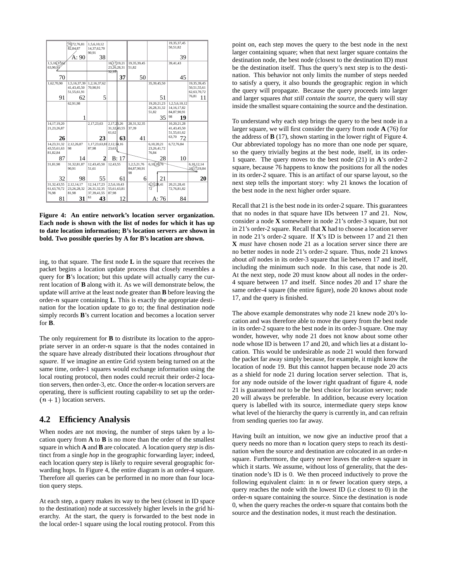

**Figure 4: An entire network's location server organization. Each node is shown with the list of nodes for which it has up to date location information; B's location servers are shown in bold. Two possible queries by A for B's location are shown.**

ing, to that square. The first node **L** in the square that receives the packet begins a location update process that closely resembles a query for **B**'s location; but this update will actually carry the current location of **B** along with it. As we will demonstrate below, the update will arrive at the least node greater than **B** before leaving the order- $n$  square containing **L**. This is exactly the appropriate destination for the location update to go to; the final destination node simply records **B**'s current location and becomes a location server for **B**.

The only requirement for **B** to distribute its location to the appropriate server in an order- $n$  square is that the nodes contained in the square have already distributed their locations *throughout that square*. If we imagine an entire Grid system being turned on at the same time, order-1 squares would exchange information using the local routing protocol, then nodes could recruit their order-2 location servers, then order-3, etc. Once the order- $n$  location servers are operating, there is sufficient routing capability to set up the order-  $(n + 1)$  location servers.

### **4.2 Efficiency Analysis**

When nodes are not moving, the number of steps taken by a location query from **A** to **B** is no more than the order of the smallest square in which **A** and **B** are colocated. A location query *step* is distinct from a single *hop* in the geographic forwarding layer; indeed, each location query step is likely to require several geographic forwarding hops. In Figure 4, the entire diagram is an order-4 square. Therefore all queries can be performed in no more than four location query steps.

At each step, a query makes its way to the best (closest in ID space to the destination) node at successively higher levels in the grid hierarchy. At the start, the query is forwarded to the best node in the local order-1 square using the local routing protocol. From this

point on, each step moves the query to the best node in the next larger containing square; when that next larger square contains the destination node, the best node (closest to the destination ID) must be the destination itself. Thus the query's next step is to the destination. This behavior not only limits the number of steps needed to satisfy a query, it also bounds the geographic region in which the query will propagate. Because the query proceeds into larger and larger squares *that still contain the source*, the query will stay inside the smallest square containing the source and the destination.

To understand why each step brings the query to the best node in a larger square, we will first consider the query from node **A** (76) for the address of **B** (17), shown starting in the lower right of Figure 4. Our abbreviated topology has no more than one node per square, so the query trivially begins at the best node, itself, in its order-1 square. The query moves to the best node (21) in **A**'s order-2 square, because 76 happens to know the positions for all the nodes in its order-2 square. This is an artifact of our sparse layout, so the next step tells the important story: why 21 knows the location of the best node in the next higher order square.

Recall that 21 is the best node in its order-2 square. This guarantees that no nodes in that square have IDs between 17 and 21. Now, consider a node **X** somewhere in node 21's order-3 square, but not in 21's order-2 square. Recall that **X** had to choose a location server in node 21's order-2 square. If **X**'s ID is between 17 and 21 then **X** *must* have chosen node 21 as a location server since there are no better nodes in node 21's order-2 square. Thus, node 21 knows about *all* nodes in its order-3 square that lie between 17 and itself, including the minimum such node. In this case, that node is 20. At the next step, node 20 must know about all nodes in the order-4 square between 17 and itself. Since nodes 20 and 17 share the same order-4 square (the entire figure), node 20 knows about node 17, and the query is finished.

The above example demonstrates why node 21 knew node 20's location and was therefore able to move the query from the best node in its order-2 square to the best node in its order-3 square. One may wonder, however, why node 21 does not know about some other node whose ID is between 17 and 20, and which lies at a distant location. This would be undesirable as node 21 would then forward the packet far away simply because, for example, it might know the location of node 19. But this cannot happen because node 20 acts as a shield for node 21 during location server selection. That is, for any node outside of the lower right quadrant of figure 4, node 21 is guaranteed *not* to be the best choice for location server; node 20 will always be preferable. In addition, because every location query is labelled with its source, intermediate query steps know what level of the hierarchy the query is currently in, and can refrain from sending queries too far away.

Having built an intuition, we now give an inductive proof that a query needs no more than  $n$  location query steps to reach its destination when the source and destination are colocated in an order- $n$ square. Furthermore, the query never leaves the order- $n$  square in which it starts. We assume, without loss of generality, that the destination node's ID is 0. We then proceed inductively to prove the following equivalent claim: in  $n$  or fewer location query steps, a query reaches the node with the lowest ID (i.e closest to 0) in the order- $n$  square containing the source. Since the destination is node 0, when the query reaches the order- $n$  square that contains both the source and the destination nodes, it must reach the destination.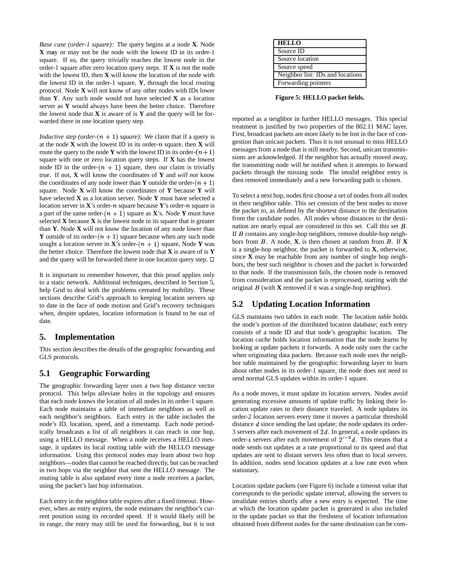*Base case (order-1 square):* The query begins at a node **X**. Node  $X$  may or may not be the node with the lowest ID in its order-1 square. If so, the query trivially reaches the lowest node in the order-1 square after zero location query steps. If **X** is not the node with the lowest ID, then **X** will know the location of the node with the lowest ID in the order-1 square, **Y**, through the local routing protocol. Node **X** will not know of any other nodes with IDs lower than **Y**. Any such node would not have selected **X** as a location server as **Y** would always have been the better choice. Therefore the lowest node that  $X$  is aware of is  $Y$  and the query will be forwarded there in one location query step.

*Inductive step* (*order-*( $n + 1$ ) *square*): We claim that if a query is at the node **X** with the lowest ID in its order- $n$  square, then **X** will route the query to the node **Y** with the lowest ID in its order- $(n+1)$ square with one or zero location query steps. If **X** has the lowest node ID in the order- $(n + 1)$  square, then our claim is trivially true. If not, **X** will know the coordinates of **Y** and *will not* know the coordinates of any node lower than **Y** outside the order- $(n+1)$ square. Node **X** will know the coordinates of **Y** because **Y** will have selected **X** as a location server. Node **Y** must have selected a location server in  $X$ 's order-*n* square because  $Y$ 's order-*n* square is a part of the same order- $(n + 1)$  square as **X**'s. Node **Y** must have selected **X** because **X** is the lowest node in its square that is greater than **Y**. Node **X** will not know the location of any node lower than Y outside of its order- $(n + 1)$  square because when any such node sought a location server in **X**'s order- $(n + 1)$  square, Node **Y** was the better choice. Therefore the lowest node that **X** is aware of is **Y** and the query will be forwarded there in one location query step.  $\Box$ 

It is important to remember however, that this proof applies only to a static network. Additional techniques, described in Section 5, help Grid to deal with the problems cereated by mobility. These sections describe Grid's approach to keeping location servers up to date in the face of node motion and Grid's recovery techniques when, despite updates, location information is found to be out of date.

### **5. Implementation**

This section describes the details of the geographic forwarding and GLS protocols.

### **5.1 Geographic Forwarding**

The geographic forwarding layer uses a two hop distance vector protocol. This helps alleviate holes in the topology and ensures that each node knows the location of all nodes in its order-1 square. Each node maintains a table of immediate neighbors as well as each neighbor's neighbors. Each entry in the table includes the node's ID, location, speed, and a timestamp. Each node periodically broadcasts a list of all neighbors it can reach in one hop, using a HELLO message. When a node receives a HELLO message, it updates its local routing table with the HELLO message information. Using this protocol nodes may learn about two hop neighbors—nodesthat cannot be reached directly, but can be reached in two hops via the neighbor that sent the HELLO message. The routing table is also updated every time a node receives a packet, using the packet's last hop information.

Each entry in the neighbor table expires after a fixed timeout. However, when an entry expires, the node estimates the neighbor's current position using its recorded speed. If it would likely still be in range, the entry may still be used for forwarding, but it is not

| <b>HELLO</b>                     |
|----------------------------------|
| Source ID                        |
| Source location                  |
| Source speed                     |
| Neighbor list: IDs and locations |
| Forwarding pointers              |

**Figure 5: HELLO packet fields.**

reported as a neighbor in further HELLO messages. This special treatment is justified by two properties of the 802.11 MAC layer. First, broadcast packets are more likely to be lost in the face of congestion than unicast packets. Thus it is not unusual to miss HELLO messages from a node that is still nearby. Second, unicast transmissions are acknowledged. If the neighbor has actually moved away, the transmitting node will be notified when it attempts to forward packets through the missing node. The invalid neighbor entry is then removed immediately and a new forwarding path is chosen.

To select a next hop, nodes first choose a set of nodes from all nodes in their neighbor table. This set consists of the best nodes to move the packet to, as defined by the shortest distance to the destination from the candidate nodes. All nodes whose distances to the destination are nearly equal are considered in this set. Call this set  $B$ . If  $B$  contains any single-hop neighbors, remove double-hop neighbors from  $B$ . A node,  $X$ , is then chosen at random from  $B$ . If  $X$ is a single-hop neighbor, the packet is forwarded to **X**, otherwise, since **X** may be reachable from any number of single hop neighbors, the best such neighbor is chosen and the packet is forwarded to that node. If the transmission fails, the chosen node is removed from consideration and the packet is reprocessed, starting with the original  $B$  (with  $X$  removed if it was a single-hop neighbor).

# **5.2 Updating Location Information**

GLS maintains two tables in each node. The location *table* holds the node's portion of the distributed location database; each entry consists of a node ID and that node's geographic location. The location *cache* holds location information that the node learns by looking at update packets it forwards. A node only uses the cache when originating data packets. Because each node uses the neighbor table maintained by the geographic forwarding layer to learn about other nodes in its order-1 square, the node does not need to send normal GLS updates within its order-1 square.

As a node moves, it must update its location servers. Nodes avoid generating excessive amounts of update traffic by linking their location update rates to their distance traveled. A node updates its order-2 location servers every time it moves a particular threshold distance  $d$  since sending the last update; the node updates its order-3 servers after each movement of  $2d$ . In general, a node updates its order-*i* servers after each movement of  $2^{i-2}d$ . This means that a node sends out updates at a rate proportional to its speed and that updates are sent to distant servers less often than to local servers. In addition, nodes send location updates at a low rate even when stationary.

Location update packets (see Figure 6) include a timeout value that corresponds to the periodic update interval, allowing the servers to invalidate entries shortly after a new entry is expected. The time at which the location update packet is generated is also included in the update packet so that the freshness of location information obtained from different nodes for the same destination can be com-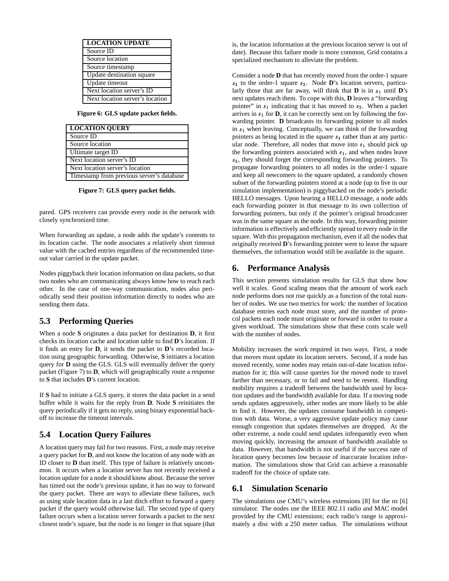| <b>LOCATION UPDATE</b>          |
|---------------------------------|
| Source ID                       |
| Source location                 |
| Source timestamp                |
| Update destination square       |
| Update timeout                  |
| Next location server's ID       |
| Next location server's location |

#### **Figure 6: GLS update packet fields.**

| <b>LOCATION OUERY</b>                     |
|-------------------------------------------|
| Source ID                                 |
| Source location                           |
| Ultimate target ID                        |
| Next location server's ID                 |
| Next location server's location           |
| Timestamp from previous server's database |

**Figure 7: GLS query packet fields.**

pared. GPS receivers can provide every node in the network with closely synchronized time.

When forwarding an update, a node adds the update's contents to its location cache. The node associates a relatively short timeout value with the cached entries regardless of the recommended timeout value carried in the update packet.

Nodes piggyback their location information on data packets, so that two nodes who are communicating always know how to reach each other. In the case of one-way communication, nodes also periodically send their position information directly to nodes who are sending them data.

# **5.3 Performing Queries**

When a node **S** originates a data packet for destination **D**, it first checks its location cache and location table to find **D**'s location. If it finds an entry for **D**, it sends the packet to **D**'s recorded location using geographic forwarding. Otherwise, **S** initiates a location query for **D** using the GLS. GLS will eventually deliver the query packet (Figure 7) to **D**, which will geographically route a response to **S** that includes **D**'s current location.

If **S** had to initiate a GLS query, it stores the data packet in a send buffer while it waits for the reply from **D**. Node **S** reinitiates the query periodically if it gets no reply, using binary exponential backoff to increase the timeout intervals.

# **5.4 Location Query Failures**

A location query may fail for two reasons. First, a node may receive a query packet for **D**, and not know the location of any node with an ID closer to **D** than itself. This type of failure is relatively uncommon. It occurs when a location server has not recently received a location update for a node it should know about. Because the server has timed out the node's previous update, it has no way to forward the query packet. There are ways to alleviate these failures, such as using stale location data in a last ditch effort to forward a query packet if the query would otherwise fail. The second type of query failure occurs when a location server forwards a packet to the next closest node's square, but the node is no longer in that square (that

is, the location information at the previous location server is out of date). Because this failure mode is more common, Grid contains a specialized mechanism to alleviate the problem.

Consider a node **D** that has recently moved from the order-1 square  $s_1$  to the order-1 square  $s_2$ . Node **D**'s location servers, particularly those that are far away, will think that **D** is in  $s_1$  until **D**'s next updates reach them. To cope with this, **D** leaves a "forwarding pointer" in  $s_1$  indicating that it has moved to  $s_2$ . When a packet arrives in  $s_1$  for **D**, it can be correctly sent on by following the forwarding pointer. **D** broadcasts its forwarding pointer to all nodes in  $s_1$  when leaving. Conceptually, we can think of the forwarding pointers as being located in the *square*  $s_1$  rather than at any particular node. Therefore, all nodes that move into  $s_1$  should pick up the forwarding pointers associated with  $s<sub>1</sub>$ , and when nodes leave  $s<sub>1</sub>$ , they should forget the corresponding forwarding pointers. To propagate forwarding pointers to all nodes in the order-1 square and keep all newcomers to the square updated, a randomly chosen subset of the forwarding pointers stored at a node (up to five in our simulation implementation) is piggybacked on the node's periodic HELLO messages. Upon hearing a HELLO message, a node adds each forwarding pointer in that message to its own collection of forwarding pointers, but only if the pointer's original broadcaster was in the same square as the node. In this way, forwarding pointer information is effectively and efficiently spread to every node in the square. With this propagation mechanism, even if all the nodes that originally received **D**'s forwarding pointer were to leave the square themselves, the information would still be available in the square.

### **6. Performance Analysis**

This section presents simulation results for GLS that show how well it scales. Good scaling means that the amount of work each node performs does not rise quickly as a function of the total number of nodes. We use two metrics for work: the number of location database entries each node must store, and the number of protocol packets each node must originate or forward in order to route a given workload. The simulations show that these costs scale well with the number of nodes.

Mobility increases the work required in two ways. First, a node that moves must update its location servers. Second, if a node has moved recently, some nodes may retain out-of-date location information for it; this will cause queries for the moved node to travel farther than necessary, or to fail and need to be resent. Handling mobility requires a tradeoff between the bandwidth used by location updates and the bandwidth available for data. If a moving node sends updates aggressively, other nodes are more likely to be able to find it. However, the updates consume bandwidth in competition with data. Worse, a very aggressive update policy may cause enough congestion that updates themselves are dropped. At the other extreme, a node could send updates infrequently even when moving quickly, increasing the amount of bandwidth available to data. However, that bandwidth is not useful if the success rate of location query becomes low because of inaccurate location information. The simulations show that Grid can achieve a reasonable tradeoff for the choice of update rate.

# **6.1 Simulation Scenario**

The simulations use CMU's wireless extensions [8] for the *ns* [6] simulator. The nodes use the IEEE 802.11 radio and MAC model provided by the CMU extensions; each radio's range is approximately a disc with a 250 meter radius. The simulations without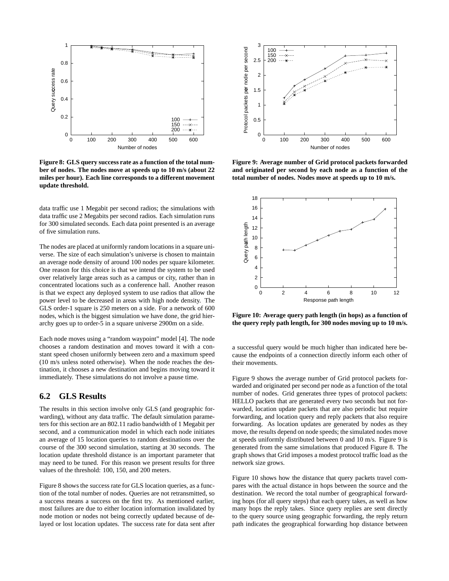

**Figure 8: GLS query success rate as a function of the total number of nodes. The nodes move at speeds up to 10 m/s (about 22 miles per hour). Each line corresponds to a different movement update threshold.**

data traffic use 1 Megabit per second radios; the simulations with data traffic use 2 Megabits per second radios. Each simulation runs for 300 simulated seconds. Each data point presented is an average of five simulation runs.

The nodes are placed at uniformly random locations in a square universe. The size of each simulation's universe is chosen to maintain an average node density of around 100 nodes per square kilometer. One reason for this choice is that we intend the system to be used over relatively large areas such as a campus or city, rather than in concentrated locations such as a conference hall. Another reason is that we expect any deployed system to use radios that allow the power level to be decreased in areas with high node density. The GLS order-1 square is 250 meters on a side. For a network of 600 nodes, which is the biggest simulation we have done, the grid hierarchy goes up to order-5 in a square universe 2900m on a side.

Each node moves using a "random waypoint" model [4]. The node chooses a random destination and moves toward it with a constant speed chosen uniformly between zero and a maximum speed (10 m/s unless noted otherwise). When the node reaches the destination, it chooses a new destination and begins moving toward it immediately. These simulations do not involve a pause time.

# **6.2 GLS Results**

The results in this section involve only GLS (and geographic forwarding), without any data traffic. The default simulation parameters for this section are an 802.11 radio bandwidth of 1 Megabit per second, and a communication model in which each node initiates an average of 15 location queries to random destinations over the course of the 300 second simulation, starting at 30 seconds. The location update threshold distance is an important parameter that may need to be tuned. For this reason we present results for three values of the threshold: 100, 150, and 200 meters.

Figure 8 shows the success rate for GLS location queries, as a function of the total number of nodes. Queries are not retransmitted, so a success means a success on the first try. As mentioned earlier, most failures are due to either location information invalidated by node motion or nodes not being correctly updated because of delayed or lost location updates. The success rate for data sent after



**Figure 9: Average number of Grid protocol packets forwarded and originated per second by each node as a function of the total number of nodes. Nodes move at speeds up to 10 m/s.**



**Figure 10: Average query path length (in hops) as a function of the query reply path length, for 300 nodes moving up to 10 m/s.**

a successful query would be much higher than indicated here because the endpoints of a connection directly inform each other of their movements.

Figure 9 shows the average number of Grid protocol packets forwarded and originated per second per node as a function of the total number of nodes. Grid generates three types of protocol packets: HELLO packets that are generated every two seconds but not forwarded, location update packets that are also periodic but require forwarding, and location query and reply packets that also require forwarding. As location updates are generated by nodes as they move, the results depend on node speeds; the simulated nodes move at speeds uniformly distributed between 0 and 10 m/s. Figure 9 is generated from the same simulations that produced Figure 8. The graph shows that Grid imposes a modest protocol traffic load as the network size grows.

Figure 10 shows how the distance that query packets travel compares with the actual distance in hops between the source and the destination. We record the total number of geographical forwarding hops (for all query steps) that each query takes, as well as how many hops the reply takes. Since query replies are sent directly to the query source using geographic forwarding, the reply return path indicates the geographical forwarding hop distance between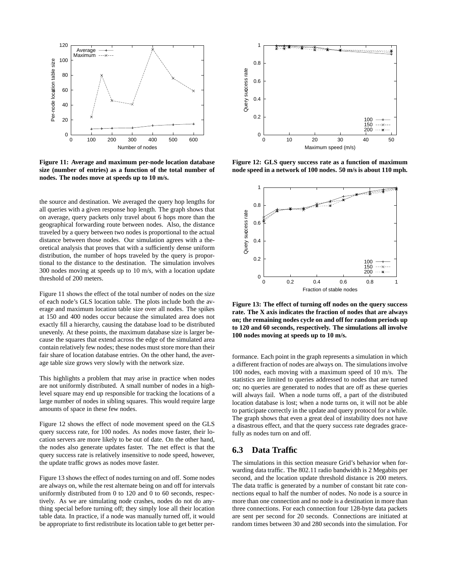

**Figure 11: Average and maximum per-node location database size (number of entries) as a function of the total number of nodes. The nodes move at speeds up to 10 m/s.**

the source and destination. We averaged the query hop lengths for all queries with a given response hop length. The graph shows that on average, query packets only travel about 6 hops more than the geographical forwarding route between nodes. Also, the distance traveled by a query between two nodes is proportional to the actual distance between those nodes. Our simulation agrees with a theoretical analysis that proves that with a sufficiently dense uniform distribution, the number of hops traveled by the query is proportional to the distance to the destination. The simulation involves 300 nodes moving at speeds up to 10 m/s, with a location update threshold of 200 meters.

Figure 11 shows the effect of the total number of nodes on the size of each node's GLS location table. The plots include both the average and maximum location table size over all nodes. The spikes at 150 and 400 nodes occur because the simulated area does not exactly fill a hierarchy, causing the database load to be distributed unevenly. At these points, the maximum database size is larger because the squares that extend across the edge of the simulated area contain relatively few nodes; these nodes must store more than their fair share of location database entries. On the other hand, the average table size grows very slowly with the network size.

This highlights a problem that may arise in practice when nodes are not uniformly distributed. A small number of nodes in a highlevel square may end up responsible for tracking the locations of a large number of nodes in sibling squares. This would require large amounts of space in these few nodes.

Figure 12 shows the effect of node movement speed on the GLS query success rate, for 100 nodes. As nodes move faster, their location servers are more likely to be out of date. On the other hand, the nodes also generate updates faster. The net effect is that the query success rate is relatively insensitive to node speed, however, the update traffic grows as nodes move faster.

Figure 13 shows the effect of nodes turning on and off. Some nodes are always on, while the rest alternate being on and off for intervals uniformly distributed from 0 to 120 and 0 to 60 seconds, respectively. As we are simulating node crashes, nodes do not do anything special before turning off; they simply lose all their location table data. In practice, if a node was manually turned off, it would be appropriate to first redistribute its location table to get better per-



**Figure 12: GLS query success rate as a function of maximum node speed in a network of 100 nodes. 50 m/s is about 110 mph.**



**Figure 13: The effect of turning off nodes on the query success rate. The X axis indicates the fraction of nodes that are always on; the remaining nodes cycle on and off for random periods up to 120 and 60 seconds, respectively. The simulations all involve 100 nodes moving at speeds up to 10 m/s.**

formance. Each point in the graph represents a simulation in which a different fraction of nodes are always on. The simulations involve 100 nodes, each moving with a maximum speed of 10 m/s. The statistics are limited to queries addressed to nodes that are turned on; no queries are generated to nodes that are off as these queries will always fail. When a node turns off, a part of the distributed location database is lost; when a node turns on, it will not be able to participate correctly in the update and query protocol for a while. The graph shows that even a great deal of instability does not have a disastrous effect, and that the query success rate degrades gracefully as nodes turn on and off.

### **6.3 Data Traffic**

The simulations in this section measure Grid's behavior when forwarding data traffic. The 802.11 radio bandwidth is 2 Megabits per second, and the location update threshold distance is 200 meters. The data traffic is generated by a number of constant bit rate connections equal to half the number of nodes. No node is a source in more than one connection and no node is a destination in more than three connections. For each connection four 128-byte data packets are sent per second for 20 seconds. Connections are initiated at random times between 30 and 280 seconds into the simulation. For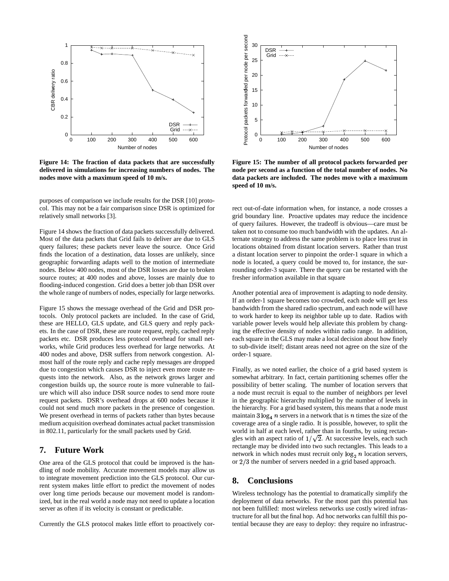

**Figure 14: The fraction of data packets that are successfully delivered in simulations for increasing numbers of nodes. The nodes move with a maximum speed of 10 m/s.**

purposes of comparison we include results for the DSR [10] protocol. This may not be a fair comparison since DSR is optimized for relatively small networks [3].

Figure 14 shows the fraction of data packets successfully delivered. Most of the data packets that Grid fails to deliver are due to GLS query failures; these packets never leave the source. Once Grid finds the location of a destination, data losses are unlikely, since geographic forwarding adapts well to the motion of intermediate nodes. Below 400 nodes, most of the DSR losses are due to broken source routes; at 400 nodes and above, losses are mainly due to flooding-induced congestion. Grid does a better job than DSR over the whole range of numbers of nodes, especially for large networks.

Figure 15 shows the message overhead of the Grid and DSR protocols. Only protocol packets are included. In the case of Grid, these are HELLO, GLS update, and GLS query and reply packets. In the case of DSR, these are route request, reply, cached reply packets etc. DSR produces less protocol overhead for small networks, while Grid produces less overhead for large networks. At 400 nodes and above, DSR suffers from network congestion. Almost half of the route reply and cache reply messages are dropped due to congestion which causes DSR to inject even more route requests into the network. Also, as the network grows larger and congestion builds up, the source route is more vulnerable to failure which will also induce DSR source nodes to send more route request packets. DSR's overhead drops at 600 nodes because it could not send much more packets in the presence of congestion. We present overhead in terms of packets rather than bytes because medium acquisition overhead dominates actual packet transmission in 802.11, particularly for the small packets used by Grid.

### **7. Future Work**

One area of the GLS protocol that could be improved is the handling of node mobility. Accurate movement models may allow us to integrate movement prediction into the GLS protocol. Our current system makes little effort to predict the movement of nodes over long time periods because our movement model is randomized, but in the real world a node may not need to update a location server as often if its velocity is constant or predictable.

Currently the GLS protocol makes little effort to proactively cor-



**Figure 15: The number of all protocol packets forwarded per node per second as a function of the total number of nodes. No data packets are included. The nodes move with a maximum speed of 10 m/s.**

rect out-of-date information when, for instance, a node crosses a grid boundary line. Proactive updates may reduce the incidence of query failures. However, the tradeoff is obvious—care must be taken not to consume too much bandwidth with the updates. An alternate strategy to address the same problem is to place less trust in locations obtained from distant location servers. Rather than trust a distant location server to pinpoint the order-1 square in which a node is located, a query could be moved to, for instance, the surrounding order-3 square. There the query can be restarted with the fresher information available in that square

Another potential area of improvement is adapting to node density. If an order-1 square becomes too crowded, each node will get less bandwidth from the shared radio spectrum, and each node will have to work harder to keep its neighbor table up to date. Radios with variable power levels would help alleviate this problem by changing the effective density of nodes within radio range. In addition, each square in the GLS may make a local decision about how finely to sub-divide itself; distant areas need not agree on the size of the order-1 square.

Finally, as we noted earlier, the choice of a grid based system is somewhat arbitrary. In fact, certain partitioning schemes offer the possibility of better scaling. The number of location servers that a node must recruit is equal to the number of neighbors per level in the geographic hierarchy multiplied by the number of levels in the hierarchy. For a grid based system, this means that a node must maintain 3  $\log_4 n$  servers in a network that is n times the size of the coverage area of a single radio. It is possible, however, to split the world in half at each level, rather than in fourths, by using rectangles with an aspect ratio of  $1/\sqrt{2}$ . At successive levels, each such rectangle may be divided into two such rectangles. This leads to a network in which nodes must recruit only  $\log_2 n$  location servers, or  $2/3$  the number of servers needed in a grid based approach.

### **8. Conclusions**

Wireless technology has the potential to dramatically simplify the deployment of data networks. For the most part this potential has not been fulfilled: most wireless networks use costly wired infrastructure for all but the final hop. Ad hoc networks can fulfill this potential because they are easy to deploy: they require no infrastruc